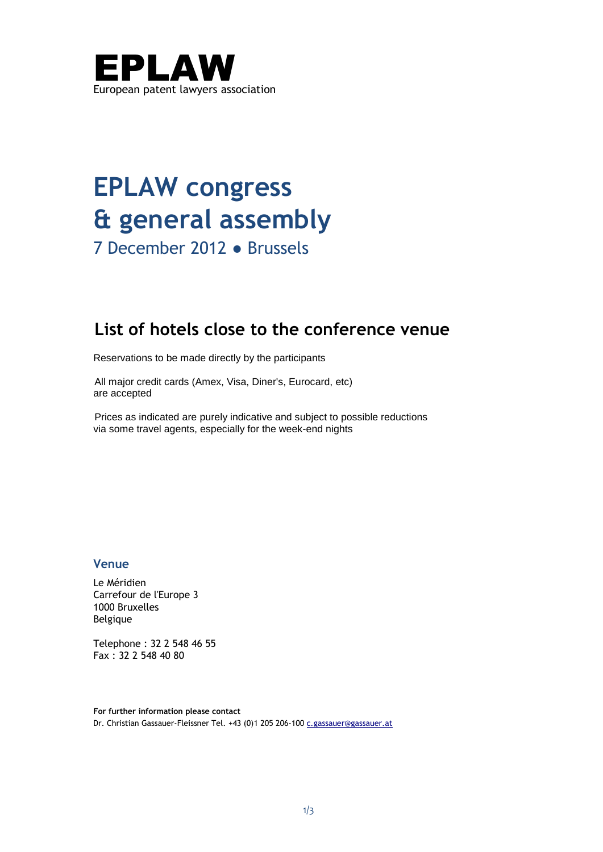

# **EPLAW congress & general assembly**

7 December 2012 ● Brussels

# **List of hotels close to the conference venue**

Reservations to be made directly by the participants

All major credit cards (Amex, Visa, Diner's, Eurocard, etc) are accepted

Prices as indicated are purely indicative and subject to possible reductions via some travel agents, especially for the week-end nights

# **Venue**

Le Méridien Carrefour de l'Europe 3 1000 Bruxelles Belgique

Telephone : 32 2 548 46 55 Fax : 32 2 548 40 80

**For further information please contact** Dr. Christian Gassauer-Fleissner Tel. +43 (0)1 205 206-100 [c.gassauer@gassauer.at](mailto:c.gassauer@gassauer.at)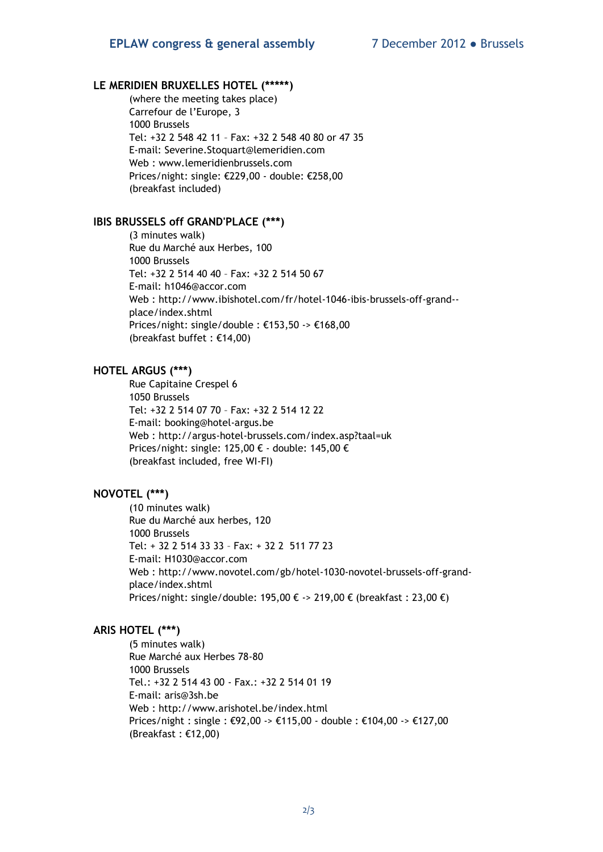## **LE MERIDIEN BRUXELLES HOTEL (\*\*\*\*\*)**

(where the meeting takes place) Carrefour de l'Europe, 3 1000 Brussels Tel: +32 2 548 42 11 – Fax: +32 2 548 40 80 or 47 35 E-mail: [Severine.Stoquart@lemeridien.com](mailto:Severine.Stoquart@lemeridien.com) Web : [www.lemeridienbrussels.com](http://www.lemeridienbrussels.com/) Prices/night: single: €229,00 - double: €258,00 (breakfast included)

#### **IBIS BRUSSELS off GRAND'PLACE (\*\*\*)**

(3 minutes walk) Rue du Marché aux Herbes, 100 1000 Brussels Tel: +32 2 514 40 40 – Fax: +32 2 514 50 67 E-mail: [h1046@accor.com](mailto:h1046@accor.com)  Web : [http://www.ibishotel.com/fr/hotel-1046-ibis-brussels-off-grand-](http://www.ibishotel.com/fr/hotel-1046-ibis-brussels-off-grand--place/index.shtml) [place/index.shtml](http://www.ibishotel.com/fr/hotel-1046-ibis-brussels-off-grand--place/index.shtml) Prices/night: single/double : €153,50 -> €168,00 (breakfast buffet : €14,00)

### **HOTEL ARGUS (\*\*\*)**

Rue Capitaine Crespel 6 1050 Brussels Tel: +32 2 514 07 70 – Fax: +32 2 514 12 22 E-mail: [booking@hotel-argus.be](mailto:booking@hotel-argus.be) Web :<http://argus-hotel-brussels.com/index.asp?taal=uk> Prices/night: single: 125,00 € - double: 145,00 € (breakfast included, free WI-FI)

## **NOVOTEL (\*\*\*)**

(10 minutes walk) Rue du Marché aux herbes, 120 1000 Brussels Tel: + 32 2 514 33 33 – Fax: + 32 2 511 77 23 E-mail: [H1030@accor.com](mailto:H1030@accor.com)  Web : [http://www.novotel.com/gb/hotel-1030-novotel-brussels-off-grand](http://www.novotel.com/gb/hotel-1030-novotel-brussels-off-grand-place/index.shtml)[place/index.shtml](http://www.novotel.com/gb/hotel-1030-novotel-brussels-off-grand-place/index.shtml) Prices/night: single/double: 195,00 € -> 219,00 € (breakfast : 23,00 €)

#### **ARIS HOTEL (\*\*\*)**

(5 minutes walk) Rue Marché aux Herbes 78-80 1000 Brussels Tel.: +32 2 514 43 00 - Fax.: +32 2 514 01 19 E-mail: [aris@3sh.be](mailto:aris@3sh.be) Web :<http://www.arishotel.be/index.html> Prices/night : single : €92,00 -> €115,00 - double : €104,00 -> €127,00 (Breakfast : €12,00)